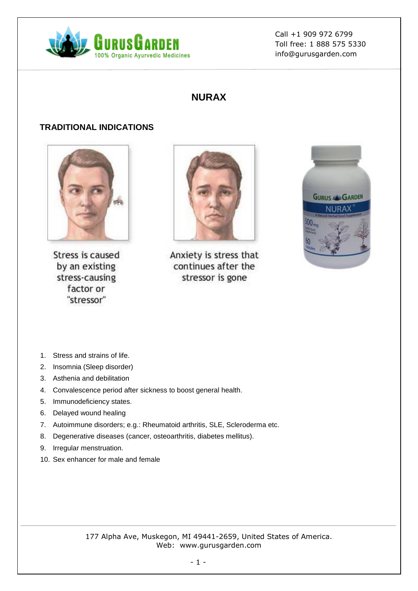

# **NURAX**

## **TRADITIONAL INDICATIONS**



Stress is caused by an existing stress-causing factor or "stressor"



Anxiety is stress that continues after the stressor is gone



- 1. Stress and strains of life.
- 2. Insomnia (Sleep disorder)
- 3. Asthenia and debilitation
- 4. Convalescence period after sickness to boost general health.
- 5. Immunodeficiency states.
- 6. Delayed wound healing
- 7. Autoimmune disorders; e.g.: Rheumatoid arthritis, SLE, Scleroderma etc.
- 8. Degenerative diseases (cancer, osteoarthritis, diabetes mellitus).
- 9. Irregular menstruation.
- 10. Sex enhancer for male and female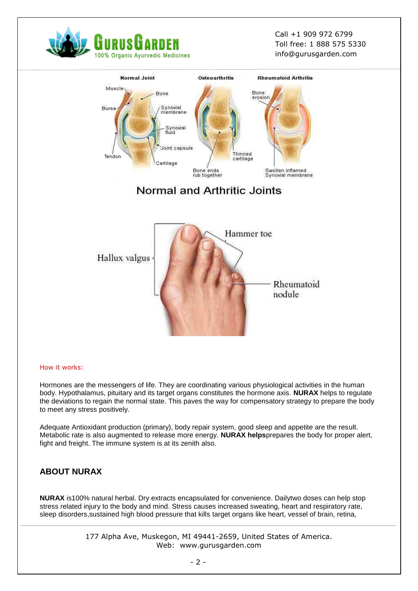



**Normal and Arthritic Joints** 



#### How it works:

Hormones are the messengers of life. They are coordinating various physiological activities in the human body. Hypothalamus, pituitary and its target organs constitutes the hormone axis. **NURAX** helps to regulate the deviations to regain the normal state. This paves the way for compensatory strategy to prepare the body to meet any stress positively.

Adequate Antioxidant production (primary), body repair system, good sleep and appetite are the result. Metabolic rate is also augmented to release more energy. **NURAX helps**prepares the body for proper alert, fight and freight. The immune system is at its zenith also.

### **ABOUT NURAX**

**NURAX** is100% natural herbal. Dry extracts encapsulated for convenience. Dailytwo doses can help stop stress related injury to the body and mind. Stress causes increased sweating, heart and respiratory rate, sleep disorders,sustained high blood pressure that kills target organs like heart, vessel of brain, retina,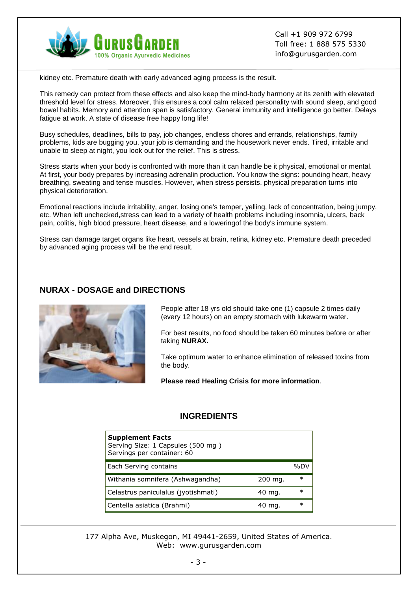

kidney etc. Premature death with early advanced aging process is the result.

This remedy can protect from these effects and also keep the mind-body harmony at its zenith with elevated threshold level for stress. Moreover, this ensures a cool calm relaxed personality with sound sleep, and good bowel habits. Memory and attention span is satisfactory. General immunity and intelligence go better. Delays fatigue at work. A state of disease free happy long life!

Busy schedules, deadlines, bills to pay, job changes, endless chores and errands, relationships, family problems, kids are bugging you, your job is demanding and the housework never ends. Tired, irritable and unable to sleep at night, you look out for the relief. This is stress.

Stress starts when your body is confronted with more than it can handle be it physical, emotional or mental. At first, your body prepares by increasing adrenalin production. You know the signs: pounding heart, heavy breathing, sweating and tense muscles. However, when stress persists, physical preparation turns into physical deterioration.

Emotional reactions include irritability, anger, losing one's temper, yelling, lack of concentration, being jumpy, etc. When left unchecked,stress can lead to a variety of health problems including insomnia, ulcers, back pain, colitis, high blood pressure, heart disease, and a loweringof the body's immune system.

Stress can damage target organs like heart, vessels at brain, retina, kidney etc. Premature death preceded by advanced aging process will be the end result.

### **NURAX - DOSAGE and DIRECTIONS**



People after 18 yrs old should take one (1) capsule 2 times daily (every 12 hours) on an empty stomach with lukewarm water.

For best results, no food should be taken 60 minutes before or after taking **NURAX.**

Take optimum water to enhance elimination of released toxins from the body.

**Please read Healing Crisis for more information**.

## **INGREDIENTS**

| <b>Supplement Facts</b><br>Serving Size: 1 Capsules (500 mg)<br>Servings per container: 60 |         |        |
|--------------------------------------------------------------------------------------------|---------|--------|
| Each Serving contains                                                                      |         | %D\    |
| Withania somnifera (Ashwagandha)                                                           | 200 mg. | $\ast$ |
| Celastrus paniculalus ( <i>jyotishmati</i> )                                               | 40 mg.  | $\ast$ |
| Centella asiatica (Brahmi)                                                                 | 40 mg.  | ж      |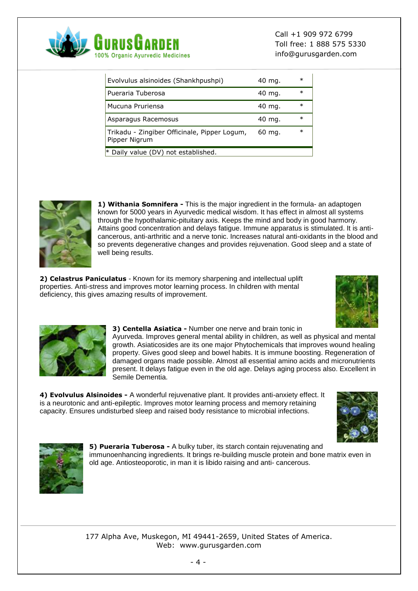

| Evolvulus alsinoides (Shankhpushpi)                           | 40 mg.   | $\ast$ |
|---------------------------------------------------------------|----------|--------|
| Pueraria Tuberosa                                             | 40 mg.   | $\ast$ |
| Mucuna Pruriensa                                              | 40 mg.   | $\ast$ |
| Asparagus Racemosus                                           | 40 mg.   | $\ast$ |
| Trikadu - Zingiber Officinale, Pipper Logum,<br>Pipper Nigrum | $60$ mg. | $\ast$ |
| * Daily value (DV) not established.                           |          |        |



**1) Withania Somnifera -** This is the major ingredient in the formula- an adaptogen known for 5000 years in Ayurvedic medical wisdom. It has effect in almost all systems through the hypothalamic-pituitary axis. Keeps the mind and body in good harmony. Attains good concentration and delays fatigue. Immune apparatus is stimulated. It is anticancerous, anti-arthritic and a nerve tonic. Increases natural anti-oxidants in the blood and so prevents degenerative changes and provides rejuvenation. Good sleep and a state of well being results.

**2) Celastrus Paniculatus** - Known for its memory sharpening and intellectual uplift properties. Anti-stress and improves motor learning process. In children with mental deficiency, this gives amazing results of improvement.





**3) Centella Asiatica -** Number one nerve and brain tonic in Ayurveda. Improves general mental ability in children, as well as physical and mental growth. Asiaticosides are its one major Phytochemicals that improves wound healing property. Gives good sleep and bowel habits. It is immune boosting. Regeneration of damaged organs made possible. Almost all essential amino acids and micronutrients present. It delays fatigue even in the old age. Delays aging process also. Excellent in Semile Dementia.

**4) Evolvulus Alsinoides -** A wonderful rejuvenative plant. It provides anti-anxiety effect. It is a neurotonic and anti-epileptic. Improves motor learning process and memory retaining capacity. Ensures undisturbed sleep and raised body resistance to microbial infections.





**5) Pueraria Tuberosa -** A bulky tuber, its starch contain rejuvenating and immunoenhancing ingredients. It brings re-building muscle protein and bone matrix even in old age. Antiosteoporotic, in man it is libido raising and anti- cancerous.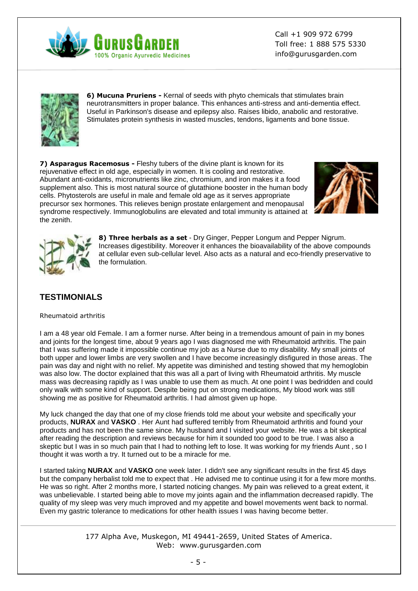



**6) Mucuna Pruriens -** Kernal of seeds with phyto chemicals that stimulates brain neurotransmitters in proper balance. This enhances anti-stress and anti-dementia effect. Useful in Parkinson's disease and epilepsy also. Raises libido, anabolic and restorative. Stimulates protein synthesis in wasted muscles, tendons, ligaments and bone tissue.

**7) Asparagus Racemosus -** Fleshy tubers of the divine plant is known for its rejuvenative effect in old age, especially in women. It is cooling and restorative. Abundant anti-oxidants, micronutrients like zinc, chromium, and iron makes it a food supplement also. This is most natural source of glutathione booster in the human body cells. Phytosterols are useful in male and female old age as it serves appropriate precursor sex hormones. This relieves benign prostate enlargement and menopausal syndrome respectively. Immunoglobulins are elevated and total immunity is attained at the zenith.





**8) Three herbals as a set** - Dry Ginger, Pepper Longum and Pepper Nigrum. Increases digestibility. Moreover it enhances the bioavailability of the above compounds at cellular even sub-cellular level. Also acts as a natural and eco-friendly preservative to the formulation.

## **TESTIMONIALS**

#### Rheumatoid arthritis

I am a 48 year old Female. I am a former nurse. After being in a tremendous amount of pain in my bones and joints for the longest time, about 9 years ago I was diagnosed me with Rheumatoid arthritis. The pain that I was suffering made it impossible continue my job as a Nurse due to my disability. My small joints of both upper and lower limbs are very swollen and I have become increasingly disfigured in those areas. The pain was day and night with no relief. My appetite was diminished and testing showed that my hemoglobin was also low. The doctor explained that this was all a part of living with Rheumatoid arthritis. My muscle mass was decreasing rapidly as I was unable to use them as much. At one point I was bedridden and could only walk with some kind of support. Despite being put on strong medications, My blood work was still showing me as positive for Rheumatoid arthritis. I had almost given up hope.

My luck changed the day that one of my close friends told me about your website and specifically your products, **NURAX** and **VASKO** . Her Aunt had suffered terribly from Rheumatoid arthritis and found your products and has not been the same since. My husband and I visited your website. He was a bit skeptical after reading the description and reviews because for him it sounded too good to be true. I was also a skeptic but I was in so much pain that I had to nothing left to lose. It was working for my friends Aunt , so I thought it was worth a try. It turned out to be a miracle for me.

I started taking **NURAX** and **VASKO** one week later. I didn't see any significant results in the first 45 days but the company herbalist told me to expect that . He advised me to continue using it for a few more months. He was so right. After 2 months more, I started noticing changes. My pain was relieved to a great extent, it was unbelievable. I started being able to move my joints again and the inflammation decreased rapidly. The quality of my sleep was very much improved and my appetite and bowel movements went back to normal. Even my gastric tolerance to medications for other health issues I was having become better.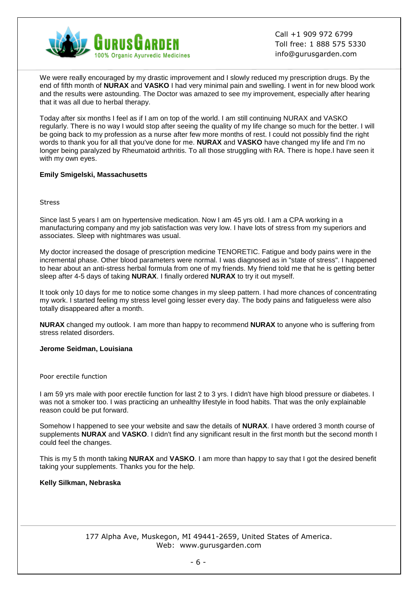

We were really encouraged by my drastic improvement and I slowly reduced my prescription drugs. By the end of fifth month of **NURAX** and **VASKO** I had very minimal pain and swelling. I went in for new blood work and the results were astounding. The Doctor was amazed to see my improvement, especially after hearing that it was all due to herbal therapy.

Today after six months I feel as if I am on top of the world. I am still continuing NURAX and VASKO regularly. There is no way I would stop after seeing the quality of my life change so much for the better. I will be going back to my profession as a nurse after few more months of rest. I could not possibly find the right words to thank you for all that you've done for me. **NURAX** and **VASKO** have changed my life and I'm no longer being paralyzed by Rheumatoid arthritis. To all those struggling with RA. There is hope.I have seen it with my own eyes.

#### **Emily Smigelski, Massachusetts**

#### Stress

Since last 5 years I am on hypertensive medication. Now I am 45 yrs old. I am a CPA working in a manufacturing company and my job satisfaction was very low. I have lots of stress from my superiors and associates. Sleep with nightmares was usual.

My doctor increased the dosage of prescription medicine TENORETIC. Fatigue and body pains were in the incremental phase. Other blood parameters were normal. I was diagnosed as in "state of stress". I happened to hear about an anti-stress herbal formula from one of my friends. My friend told me that he is getting better sleep after 4-5 days of taking **NURAX**. I finally ordered **NURAX** to try it out myself.

It took only 10 days for me to notice some changes in my sleep pattern. I had more chances of concentrating my work. I started feeling my stress level going lesser every day. The body pains and fatigueless were also totally disappeared after a month.

**NURAX** changed my outlook. I am more than happy to recommend **NURAX** to anyone who is suffering from stress related disorders.

#### **Jerome Seidman, Louisiana**

#### Poor erectile function

I am 59 yrs male with poor erectile function for last 2 to 3 yrs. I didn't have high blood pressure or diabetes. I was not a smoker too. I was practicing an unhealthy lifestyle in food habits. That was the only explainable reason could be put forward.

Somehow I happened to see your website and saw the details of **NURAX**. I have ordered 3 month course of supplements **NURAX** and **VASKO**. I didn't find any significant result in the first month but the second month I could feel the changes.

This is my 5 th month taking **NURAX** and **VASKO**. I am more than happy to say that I got the desired benefit taking your supplements. Thanks you for the help.

#### **Kelly Silkman, Nebraska**